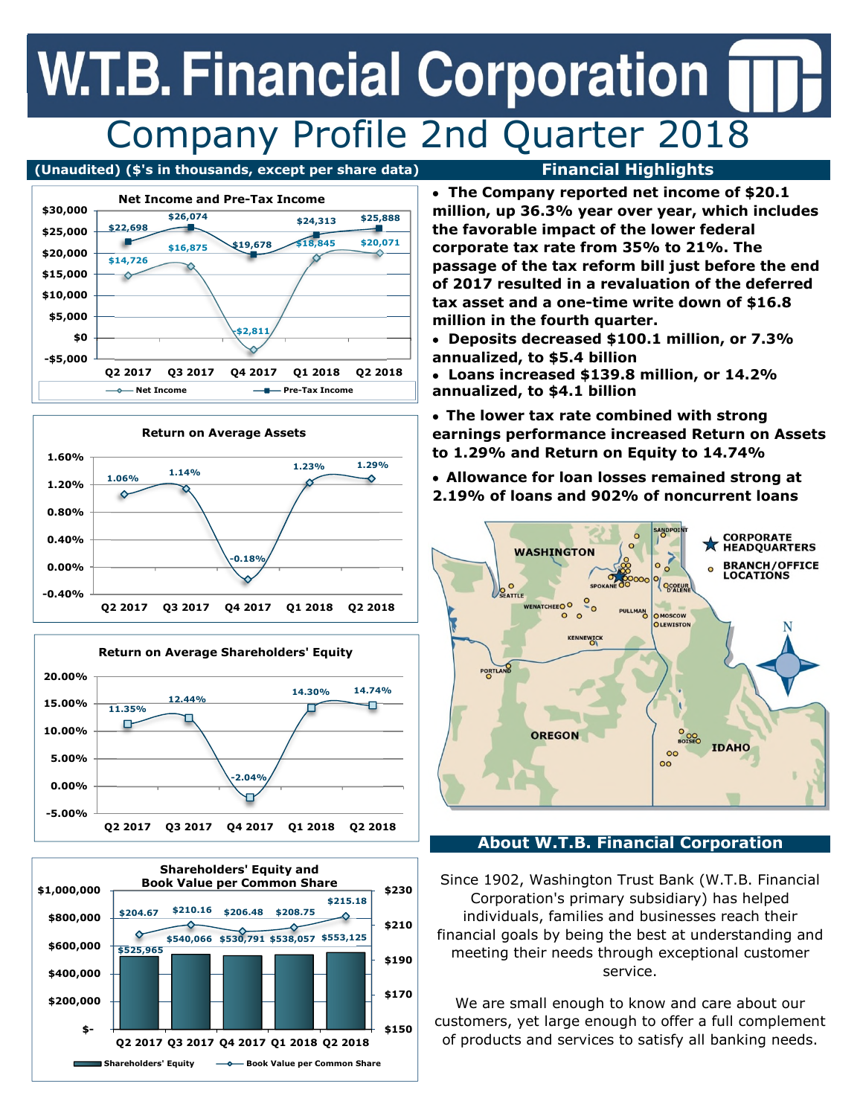## **W.T.B. Financial Corporation** Company Profile 2nd Quarter 2018











• **The Company reported net income of \$20.1 million, up 36.3% year over year, which includes the favorable impact of the lower federal corporate tax rate from 35% to 21%. The passage of the tax reform bill just before the end of 2017 resulted in a revaluation of the deferred tax asset and a one-time write down of \$16.8 million in the fourth quarter.**

• **Deposits decreased \$100.1 million, or 7.3% annualized, to \$5.4 billion**

• **Loans increased \$139.8 million, or 14.2% annualized, to \$4.1 billion** 

• **The lower tax rate combined with strong earnings performance increased Return on Assets to 1.29% and Return on Equity to 14.74%**

• **Allowance for loan losses remained strong at 2.19% of loans and 902% of noncurrent loans** 



### **About W.T.B. Financial Corporation**

Since 1902, Washington Trust Bank (W.T.B. Financial Corporation's primary subsidiary) has helped individuals, families and businesses reach their financial goals by being the best at understanding and meeting their needs through exceptional customer service.

We are small enough to know and care about our customers, yet large enough to offer a full complement of products and services to satisfy all banking needs.